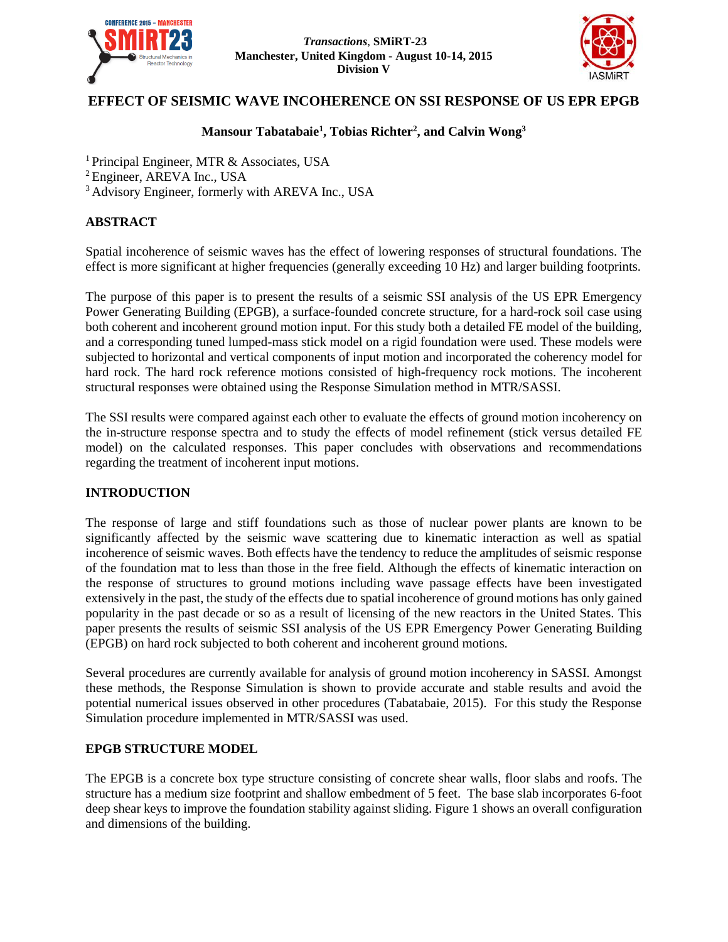

*Transactions*, **SMiRT-23 Manchester, United Kingdom - August 10-14, 2015 Division V**



# **EFFECT OF SEISMIC WAVE INCOHERENCE ON SSI RESPONSE OF US EPR EPGB**

# **Mansour Tabatabaie<sup>1</sup> , Tobias Richter<sup>2</sup> , and Calvin Wong<sup>3</sup>**

<sup>1</sup> Principal Engineer, MTR & Associates, USA

<sup>2</sup>Engineer, AREVA Inc., USA

<sup>3</sup> Advisory Engineer, formerly with AREVA Inc., USA

## **ABSTRACT**

Spatial incoherence of seismic waves has the effect of lowering responses of structural foundations. The effect is more significant at higher frequencies (generally exceeding 10 Hz) and larger building footprints.

The purpose of this paper is to present the results of a seismic SSI analysis of the US EPR Emergency Power Generating Building (EPGB), a surface-founded concrete structure, for a hard-rock soil case using both coherent and incoherent ground motion input. For this study both a detailed FE model of the building, and a corresponding tuned lumped-mass stick model on a rigid foundation were used. These models were subjected to horizontal and vertical components of input motion and incorporated the coherency model for hard rock. The hard rock reference motions consisted of high-frequency rock motions. The incoherent structural responses were obtained using the Response Simulation method in MTR/SASSI.

The SSI results were compared against each other to evaluate the effects of ground motion incoherency on the in-structure response spectra and to study the effects of model refinement (stick versus detailed FE model) on the calculated responses. This paper concludes with observations and recommendations regarding the treatment of incoherent input motions.

#### **INTRODUCTION**

The response of large and stiff foundations such as those of nuclear power plants are known to be significantly affected by the seismic wave scattering due to kinematic interaction as well as spatial incoherence of seismic waves. Both effects have the tendency to reduce the amplitudes of seismic response of the foundation mat to less than those in the free field. Although the effects of kinematic interaction on the response of structures to ground motions including wave passage effects have been investigated extensively in the past, the study of the effects due to spatial incoherence of ground motions has only gained popularity in the past decade or so as a result of licensing of the new reactors in the United States. This paper presents the results of seismic SSI analysis of the US EPR Emergency Power Generating Building (EPGB) on hard rock subjected to both coherent and incoherent ground motions.

Several procedures are currently available for analysis of ground motion incoherency in SASSI. Amongst these methods, the Response Simulation is shown to provide accurate and stable results and avoid the potential numerical issues observed in other procedures (Tabatabaie, 2015). For this study the Response Simulation procedure implemented in MTR/SASSI was used.

### **EPGB STRUCTURE MODEL**

The EPGB is a concrete box type structure consisting of concrete shear walls, floor slabs and roofs. The structure has a medium size footprint and shallow embedment of 5 feet. The base slab incorporates 6-foot deep shear keys to improve the foundation stability against sliding. Figure 1 shows an overall configuration and dimensions of the building.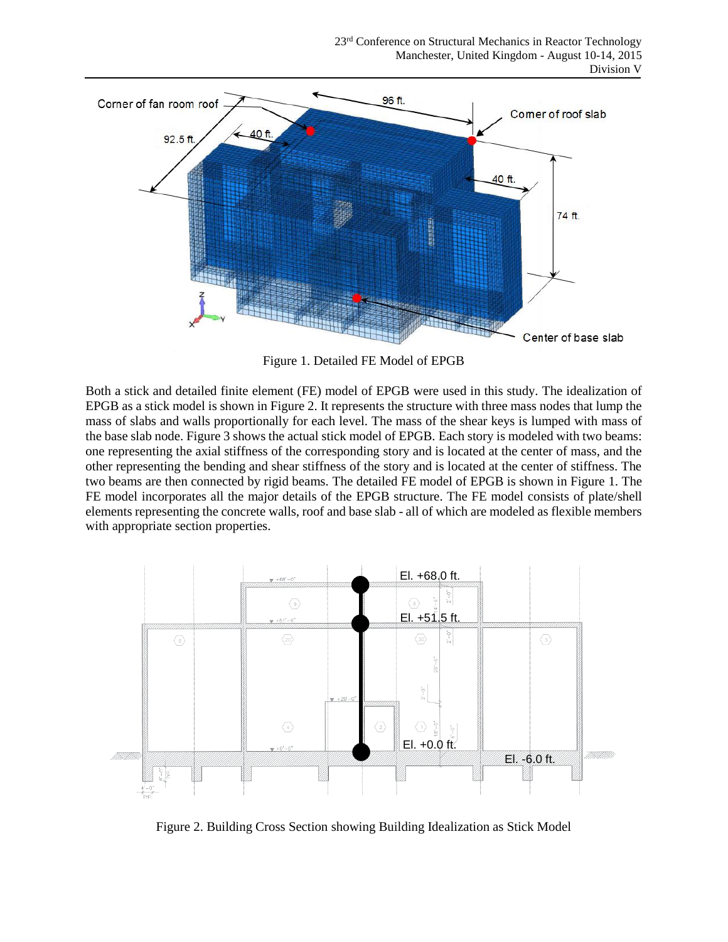

Figure 1. Detailed FE Model of EPGB

Both a stick and detailed finite element (FE) model of EPGB were used in this study. The idealization of EPGB as a stick model is shown in Figure 2. It represents the structure with three mass nodes that lump the mass of slabs and walls proportionally for each level. The mass of the shear keys is lumped with mass of the base slab node. Figure 3 shows the actual stick model of EPGB. Each story is modeled with two beams: one representing the axial stiffness of the corresponding story and is located at the center of mass, and the other representing the bending and shear stiffness of the story and is located at the center of stiffness. The two beams are then connected by rigid beams. The detailed FE model of EPGB is shown in Figure 1. The FE model incorporates all the major details of the EPGB structure. The FE model consists of plate/shell elements representing the concrete walls, roof and base slab - all of which are modeled as flexible members with appropriate section properties.



Figure 2. Building Cross Section showing Building Idealization as Stick Model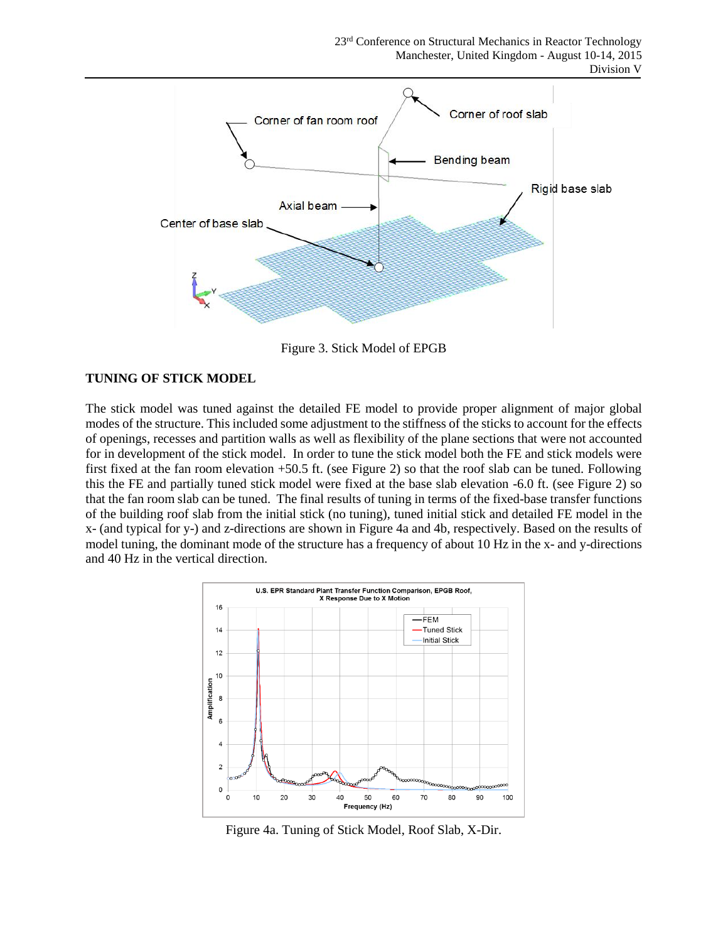

Figure 3. Stick Model of EPGB

### **TUNING OF STICK MODEL**

The stick model was tuned against the detailed FE model to provide proper alignment of major global modes of the structure. This included some adjustment to the stiffness of the sticks to account for the effects of openings, recesses and partition walls as well as flexibility of the plane sections that were not accounted for in development of the stick model. In order to tune the stick model both the FE and stick models were first fixed at the fan room elevation +50.5 ft. (see Figure 2) so that the roof slab can be tuned. Following this the FE and partially tuned stick model were fixed at the base slab elevation -6.0 ft. (see Figure 2) so that the fan room slab can be tuned. The final results of tuning in terms of the fixed-base transfer functions of the building roof slab from the initial stick (no tuning), tuned initial stick and detailed FE model in the x- (and typical for y-) and z-directions are shown in Figure 4a and 4b, respectively. Based on the results of model tuning, the dominant mode of the structure has a frequency of about 10 Hz in the x- and y-directions and 40 Hz in the vertical direction.



Figure 4a. Tuning of Stick Model, Roof Slab, X-Dir.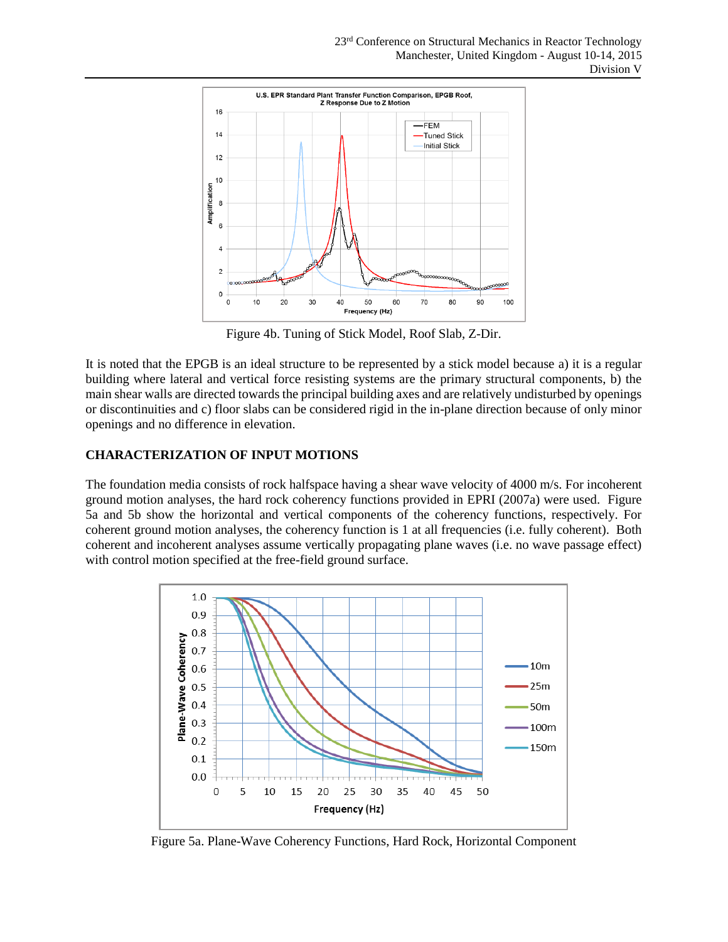

Figure 4b. Tuning of Stick Model, Roof Slab, Z-Dir.

It is noted that the EPGB is an ideal structure to be represented by a stick model because a) it is a regular building where lateral and vertical force resisting systems are the primary structural components, b) the main shear walls are directed towards the principal building axes and are relatively undisturbed by openings or discontinuities and c) floor slabs can be considered rigid in the in-plane direction because of only minor openings and no difference in elevation.

# **CHARACTERIZATION OF INPUT MOTIONS**

The foundation media consists of rock halfspace having a shear wave velocity of 4000 m/s. For incoherent ground motion analyses, the hard rock coherency functions provided in EPRI (2007a) were used. Figure 5a and 5b show the horizontal and vertical components of the coherency functions, respectively. For coherent ground motion analyses, the coherency function is 1 at all frequencies (i.e. fully coherent). Both coherent and incoherent analyses assume vertically propagating plane waves (i.e. no wave passage effect) with control motion specified at the free-field ground surface.



Figure 5a. Plane-Wave Coherency Functions, Hard Rock, Horizontal Component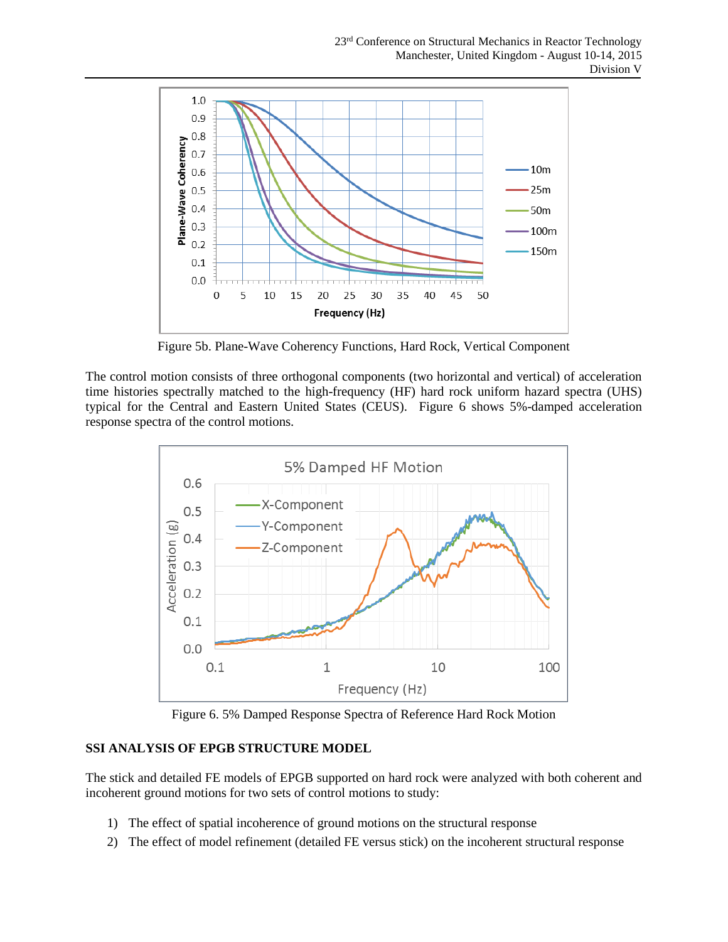

Figure 5b. Plane-Wave Coherency Functions, Hard Rock, Vertical Component

The control motion consists of three orthogonal components (two horizontal and vertical) of acceleration time histories spectrally matched to the high-frequency (HF) hard rock uniform hazard spectra (UHS) typical for the Central and Eastern United States (CEUS). Figure 6 shows 5%-damped acceleration response spectra of the control motions.



Figure 6. 5% Damped Response Spectra of Reference Hard Rock Motion

## **SSI ANALYSIS OF EPGB STRUCTURE MODEL**

The stick and detailed FE models of EPGB supported on hard rock were analyzed with both coherent and incoherent ground motions for two sets of control motions to study:

- 1) The effect of spatial incoherence of ground motions on the structural response
- 2) The effect of model refinement (detailed FE versus stick) on the incoherent structural response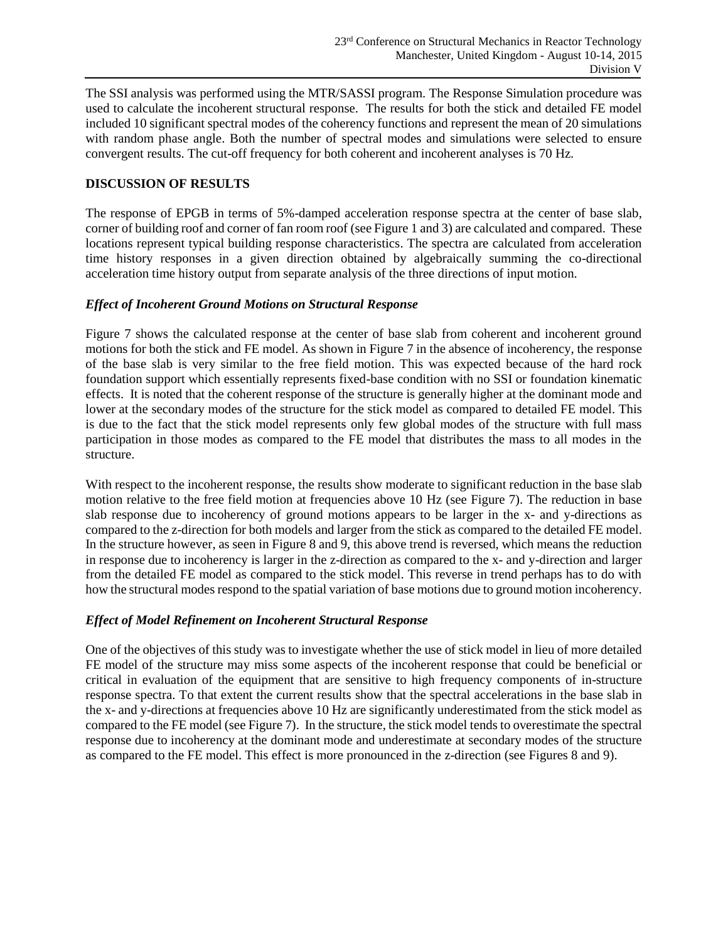The SSI analysis was performed using the MTR/SASSI program. The Response Simulation procedure was used to calculate the incoherent structural response. The results for both the stick and detailed FE model included 10 significant spectral modes of the coherency functions and represent the mean of 20 simulations with random phase angle. Both the number of spectral modes and simulations were selected to ensure convergent results. The cut-off frequency for both coherent and incoherent analyses is 70 Hz.

### **DISCUSSION OF RESULTS**

The response of EPGB in terms of 5%-damped acceleration response spectra at the center of base slab, corner of building roof and corner of fan room roof (see Figure 1 and 3) are calculated and compared. These locations represent typical building response characteristics. The spectra are calculated from acceleration time history responses in a given direction obtained by algebraically summing the co-directional acceleration time history output from separate analysis of the three directions of input motion.

### *Effect of Incoherent Ground Motions on Structural Response*

Figure 7 shows the calculated response at the center of base slab from coherent and incoherent ground motions for both the stick and FE model. As shown in Figure 7 in the absence of incoherency, the response of the base slab is very similar to the free field motion. This was expected because of the hard rock foundation support which essentially represents fixed-base condition with no SSI or foundation kinematic effects. It is noted that the coherent response of the structure is generally higher at the dominant mode and lower at the secondary modes of the structure for the stick model as compared to detailed FE model. This is due to the fact that the stick model represents only few global modes of the structure with full mass participation in those modes as compared to the FE model that distributes the mass to all modes in the structure.

With respect to the incoherent response, the results show moderate to significant reduction in the base slab motion relative to the free field motion at frequencies above 10 Hz (see Figure 7). The reduction in base slab response due to incoherency of ground motions appears to be larger in the x- and y-directions as compared to the z-direction for both models and larger from the stick as compared to the detailed FE model. In the structure however, as seen in Figure 8 and 9, this above trend is reversed, which means the reduction in response due to incoherency is larger in the z-direction as compared to the x- and y-direction and larger from the detailed FE model as compared to the stick model. This reverse in trend perhaps has to do with how the structural modes respond to the spatial variation of base motions due to ground motion incoherency.

#### *Effect of Model Refinement on Incoherent Structural Response*

One of the objectives of this study was to investigate whether the use of stick model in lieu of more detailed FE model of the structure may miss some aspects of the incoherent response that could be beneficial or critical in evaluation of the equipment that are sensitive to high frequency components of in-structure response spectra. To that extent the current results show that the spectral accelerations in the base slab in the x- and y-directions at frequencies above 10 Hz are significantly underestimated from the stick model as compared to the FE model (see Figure 7). In the structure, the stick model tends to overestimate the spectral response due to incoherency at the dominant mode and underestimate at secondary modes of the structure as compared to the FE model. This effect is more pronounced in the z-direction (see Figures 8 and 9).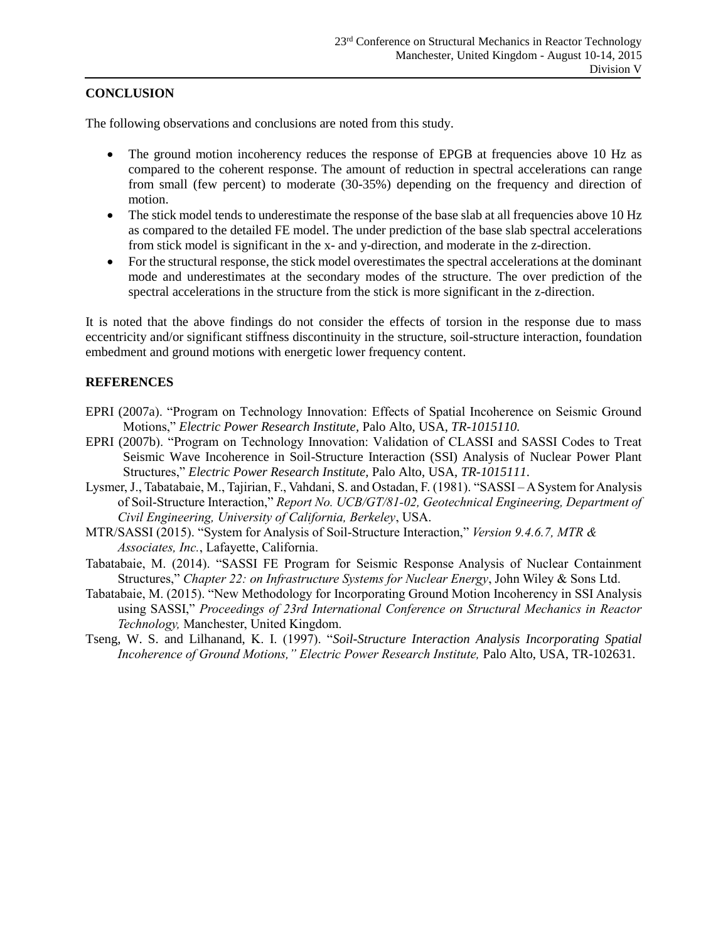### **CONCLUSION**

The following observations and conclusions are noted from this study.

- The ground motion incoherency reduces the response of EPGB at frequencies above 10 Hz as compared to the coherent response. The amount of reduction in spectral accelerations can range from small (few percent) to moderate (30-35%) depending on the frequency and direction of motion.
- The stick model tends to underestimate the response of the base slab at all frequencies above 10 Hz as compared to the detailed FE model. The under prediction of the base slab spectral accelerations from stick model is significant in the x- and y-direction, and moderate in the z-direction.
- For the structural response, the stick model overestimates the spectral accelerations at the dominant mode and underestimates at the secondary modes of the structure. The over prediction of the spectral accelerations in the structure from the stick is more significant in the z-direction.

It is noted that the above findings do not consider the effects of torsion in the response due to mass eccentricity and/or significant stiffness discontinuity in the structure, soil-structure interaction, foundation embedment and ground motions with energetic lower frequency content.

#### **REFERENCES**

- EPRI (2007a). "Program on Technology Innovation: Effects of Spatial Incoherence on Seismic Ground Motions," *Electric Power Research Institute,* Palo Alto, USA, *TR-1015110.*
- EPRI (2007b). "Program on Technology Innovation: Validation of CLASSI and SASSI Codes to Treat Seismic Wave Incoherence in Soil-Structure Interaction (SSI) Analysis of Nuclear Power Plant Structures," *Electric Power Research Institute,* Palo Alto, USA, *TR-1015111*.
- Lysmer, J., Tabatabaie, M., Tajirian, F., Vahdani, S. and Ostadan, F. (1981). "SASSI ASystem for Analysis of Soil-Structure Interaction," *Report No. UCB/GT/81-02, Geotechnical Engineering, Department of Civil Engineering, University of California, Berkeley*, USA.
- MTR/SASSI (2015). "System for Analysis of Soil-Structure Interaction," *Version 9.4.6.7, MTR & Associates, Inc.*, Lafayette, California.
- Tabatabaie, M. (2014). "SASSI FE Program for Seismic Response Analysis of Nuclear Containment Structures," *Chapter 22: on Infrastructure Systems for Nuclear Energy*, John Wiley & Sons Ltd.
- Tabatabaie, M. (2015). "New Methodology for Incorporating Ground Motion Incoherency in SSI Analysis using SASSI," *Proceedings of 23rd International Conference on Structural Mechanics in Reactor Technology,* Manchester, United Kingdom.
- Tseng, W. S. and Lilhanand, K. I. (1997). "*Soil-Structure Interaction Analysis Incorporating Spatial Incoherence of Ground Motions," Electric Power Research Institute, Palo Alto, USA, TR-102631.*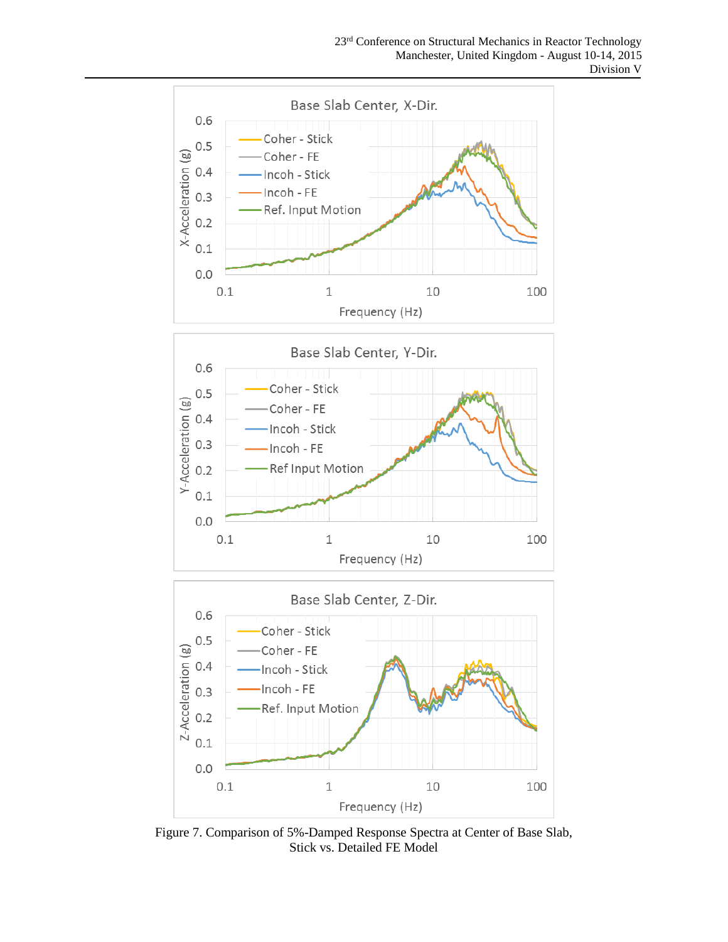

Figure 7. Comparison of 5%-Damped Response Spectra at Center of Base Slab, Stick vs. Detailed FE Model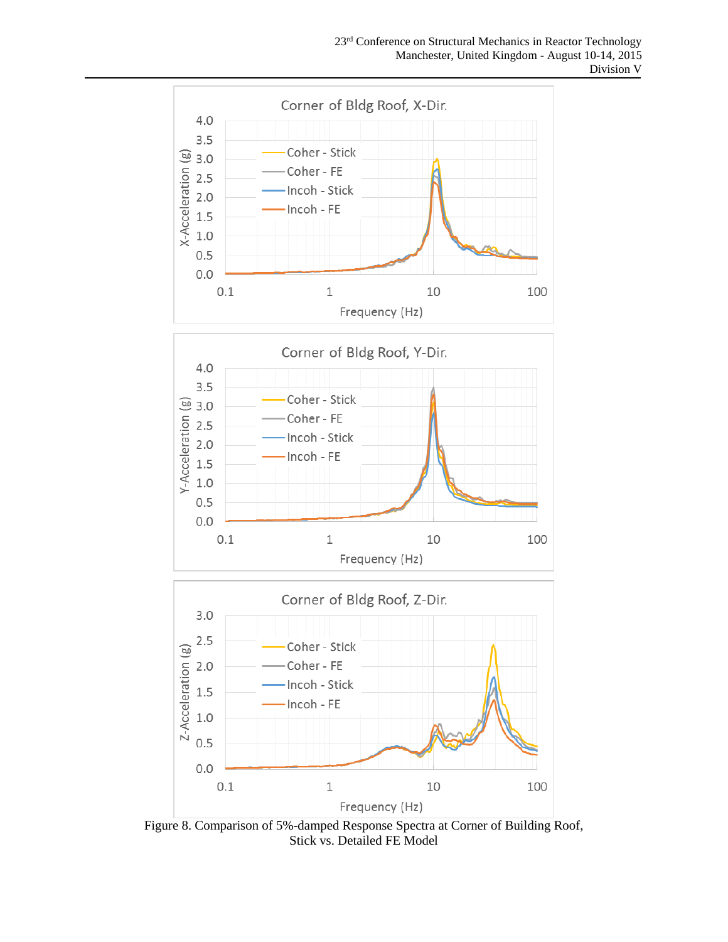

Figure 8. Comparison of 5%-damped Response Spectra at Corner of Building Roof, Stick vs. Detailed FE Model